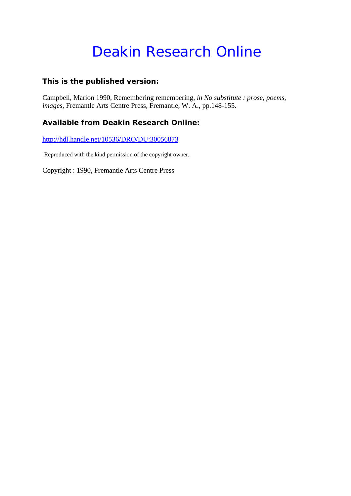# Deakin Research Online

#### **This is the published version:**

Campbell, Marion 1990, Remembering remembering*, in No substitute : prose, poems, images*, Fremantle Arts Centre Press, Fremantle, W. A., pp.148-155.

#### **Available from Deakin Research Online:**

http://hdl.handle.net/10536/DRO/DU:30056873

Reproduced with the kind permission of the copyright owner.

Copyright : 1990, Fremantle Arts Centre Press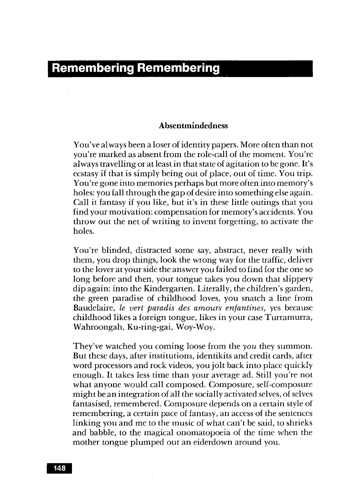## **Remembering Remembering**

#### **Absentmindedness**

You've al ways been a loser of identity papers. More often than not you're marked as absent from the role-call of the moment. You're always travelling or at least in that state of agitation to be gone. It's ecstasy if that is simply being out of place, out of time. You trip. You're gone into memories perhaps but more often into memory's holes: you fall through the gap of desire into something else again. Call it fantasy if you like, but it's in these little outings that you find your motivation: compensation for memory's accidents. You throw out the net of writing to invent forgetting, to activate the holes.

You're blinded, distracted some say, abstract, never really with them, you drop things, look the wrong way for the traffic, deliver to the lover at your side the answer you failed to find for the one so long before and then, your tongue takes you down that slippery dip again: into the Kindergarten. Literally, the children's garden, the green paradise of childhood loves, you snatch a line from Baudelaire, *le vert paradis des amours enfantines*, yes because childhood likes a foreign tongue, likes in your case Turramurra, Wahroongah, Ku-ring-gai, Woy-Woy.

They've watched you coming loose from the *you* they summon. But these days, after institutions, identikits and credit cards, after word processors and rock videos, you jolt back into place quickly enough. It takes less time than your average ad. Still you're not what anyone would call composed. Composure, self-composure might be an integration of all the socially activated selves, of selves fantasised, remembered. Composure depends on a certain style of remembering, a certain pace of fantasy, an access of the sentences linking you and me to the music of what can't be said, to shrieks and babble, to the magical onomatopoeia of the time when the mother tongue plumped out an eiderdown around you.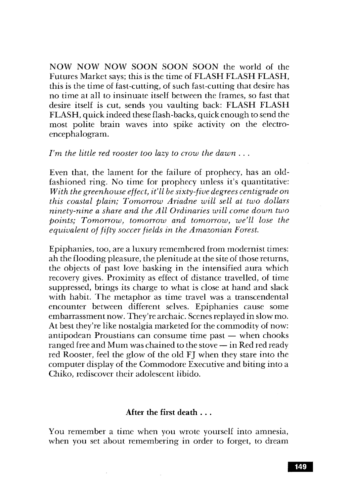NOW NOW NOW SOON SOON SOON the world of the Futures Market says; this is the time of FLASH FLASH FLASH, this is the time of fast-cutting, of such fast-cutting that desire has no time at all to insinuate itself between the frames, so fast that desire itself is cut, sends you vaulting back: FLASH FLASH FLASH, quick indeed these flash-backs, quick enough to send the most polite brain waves into spike activity on the electroencephalogram.

#### *I'm the little red rooster too lazy to crow the dawn* ...

Even that, the lament for the failure of prophecy, has an oldfashioned ring. No time for prophecy unless it's quantitative: *With the greenhouse effect, if ll be sixty-five degrees centigrade on this coastal plain; Tomorrow Ariadne will sell at two dollars ninety-nine a share and the All Ordinaries will come down two points; Tomorrow, tomorrow and tomorrow, we'll lose the equivalent of fifty soccer fields in the Amazonian Forest.* 

Epiphanies, too, are a luxury remembered from modernist times: ah the flooding pleasure, the plenitude at the site of those returns, the objects of past love basking in the intensified aura which recovery gives. Proximity as effect of distance travelled, of time suppressed, brings its charge to what is close at hand and slack with habit. The metaphor as time travel was a transcendental encounter between different selves. Epiphanies cause some embarrassment now. They're archaic. Scenes replayed in slow mo. At best they're like nostalgia marketed for the commodity of now: antipodean Proustians can consume time past  $-$  when chooks ranged free and Mum was chained to the stove  $-$  in Red red ready red Rooster, feel the glow of the old FJ when they stare into the computer display of the Commodore Executive and biting into a Chiko, rediscover their adolescent libido.

### After the first death ...

You remember a time when you wrote yourself into amnesia, when you set about remembering in order to forget, to dream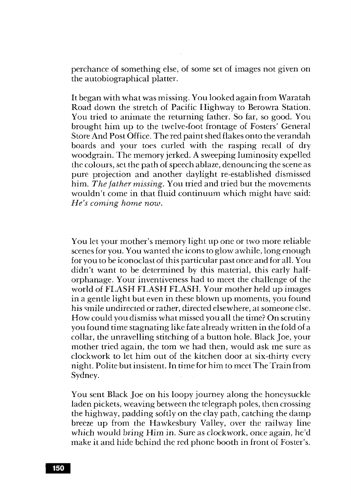perchance of something else, of some set of images not given on the autobiographical platter.

It began with what was missing. You looked again from Waratah Road down the stretch of Pacific Highway to Berowra Station. You tried to animate the returning father. So far, so good. You brought him up to the twelve-foot frontage of Fosters' General Store And Post Office. The red paint shed flakes onto the verandah boards and your toes curled with the rasping recall of dry woodgrain. The memory jerked. A sweeping luminosity expelled the colours, set the path of speech ablaze, denouncing the scene as pure projection and another daylight re-established dismissed him. *The father missing.* You tried and tried but the movements wouldn't come in that fluid continuum which might have said: *He's coming home now.* 

You let your mother's memory light up one or two more reliable scenes for you. You wanted the icons to glow awhile, long enough for you to be iconoclast of this particular past once and for all. You didn't want to be determined by this material, this early halforphanage. Your inventiveness had to meet the challenge of the world of FLASH FLASH FLASH. Your mother held up images in a gentle light but even in these blown up moments, you found his smile undirected or rather, directed elsewhere, at someone else. How could you dismiss what missed you all the time? On scrutiny you found time stagnating like fate already written in the fold of a collar, the unravelling stitching of a button hole. Black Joe, your mother tried again, the tom we had then, would ask me sure as clockwork to let him out of the kitchen door at six-thirty every night. Polite but insistent. In time for him to meet The Train from Sydney.

You sent Black Joe on his loopy journey along the honeysuckle laden pickets, weaving between the telegraph poles, then crossing the highway, padding softly on the clay path, catching the damp breeze up from the Hawkesbury Valley, over the railway line which would bring Him in. Sure as clockwork, once again, he'd make it and hide behind the red phone booth in front of Foster's.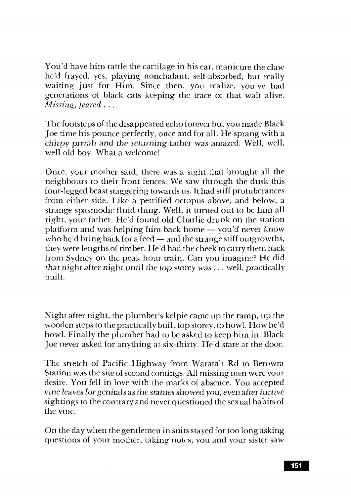You'd have him rattle the cartilage in his ear, manicure the claw he'd frayed, yes, playing nonchalant, self-absorbed, but really waiting just for Him. Since then, you realize, you've had generations of black cats keeping the trace of that wait alive. *Missing, feared* ...

The footsteps of the disappeared echo forever but you made Black Joe time his pounce perfectly, once and for all. He sprang with a chirpy prrrah and the returning father was amazed: Well, well, well old boy. What a welcome!

Once, your mother said, there was a sight that brought all the neighbours to their front fences. We saw through the dusk this four-legged beast staggering towards us. It had stiff protuberances from either side. Like a petrified octopus above, and below, a strange spasmodic fluid thing. Well, it turned out to be him all right, your father. He'd found old Charlie drunk on the station platform and was helping him back home  $-$  you'd never know who he'd bring back for a feed  $-$  and the strange stiff outgrowths, they were lengths of timber. He'd had the cheek to carry them back from Sydney on the peak hour train. Can you imagine? He did *that night after night until* the *top* storey was ... welJ, practically built.

Night after night, the plumber's kelpie came up the ramp, up the wooden steps to the practically built top storey, to howl. How he'd howl. Finally the plumber had to be asked to keep him in. Black Joe never asked for anything at six-thirty. He'd stare at the door.

The stretch of Pacific Highway from Waratah Rd to Berowra Station was the site of second comings. All missing men were your desire. You fell in love with the marks of absence. You accepted *vine leaves* for genitals as *the statues* showed you, *even* after furtive sightings to the contrary and never questioned the sexual habits of the vine.

On the day when the gentlemen in suits stayed for too long asking questions of your mother, taking notes, you and your sister saw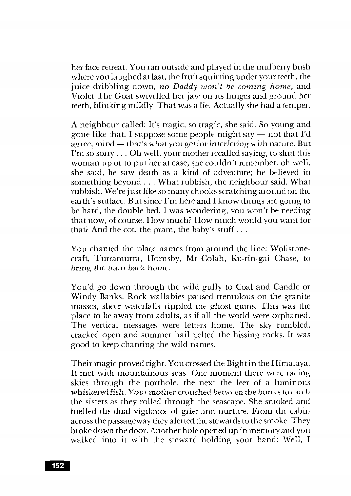her face retreat. You ran outside and played in the mulberry bush where you laughed at last, the fruit squirting under your teeth, the juice dribbling down, no Daddy won't be coming home, and Violet The Goat swivelled her jaw on its hinges and ground her teeth, blinking mildly. That was a lie. Actually she had a temper.

A neighbour called: It's tragic, so tragic, she said. So young and gone like that. I suppose some people might say  $-$  not that I'd agree, mind  $-$  that's what you get for interfering with nature. But I'm so sorry ... Oh well, your mother recalled saying, to shut this woman up or to put her at ease, she couldn't remember, oh well, she said, he saw death as a kind of adventure; he believed in something beyond ... What rubbish, the neighbour said. What rubbish. We're just like so many chooks scratching around on the earth's surface. But since I'm here and I know things are going to be hard, the double bed, I was wondering, you won't be needing that now, of course. How much? How much would you want for that? And the cot, the pram, the baby's stuff ...

You chanted the place names from around the line: Wollstonecraft, Turramurra, Hornsby, Mt Colah, Ku-rin-gai Chase, to bring the train back home.

You'd go down through the wild gully to Coal and Candle or Windy Banks. Rock wallabies paused tremulous on the granite masses, sheer waterfalls rippled the ghost gums. This was the place to be away from adults, as if all the world were orphaned. The vertical messages were letters home. The sky rumbled, cracked open and summer hail pelted the hissing rocks. It was good to keep chanting the wild names.

Their magic proved right. You crossed the Bight in the Himalaya. It met with mountainous seas. One moment there were racing skies through the porthole, the next the leer of a luminous whiskered fish. Your mother crouched *between* the bunks to catch the sisters as they rolled through the seascape. She smoked and fuelled the dual vigilance of grief and nurture. From the cabin across the passageway they alerted the stewards to the smoke. They broke down the door. Another hole opened up in memory and you walked into it with the steward holding your hand: Well, I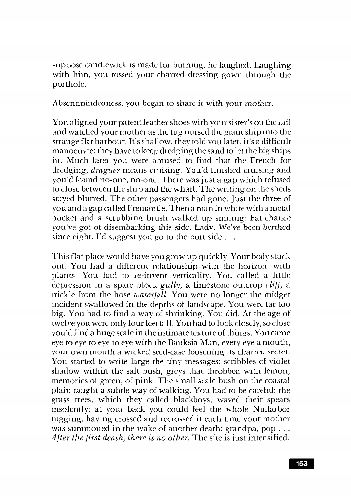suppose candlewick is made for burning, he laughed. Laughing with him, you tossed your charred dressing gown through the porthole.

Absentmindedness, you began to share it with your mother.

You aligned your patent leather shoes with your sister's on the rail and watched your mother as the tug nursed the giant ship into the strange flat harbour. It's shallow, they told you later, it's a difficult manoeuvre: they have to keep dredging the sand to let the big ships in. Much later you were amused to find that the French for dredging, *draguer* means cruising. You'd finished cruising and you'd found no-one, no-one. There was just a gap which refused to close between the ship and the wharf. The writing on the sheds stayed blurred. The other passengers had gone. Just the three of you and a gap called Fremantle. Then a man in white with a metal bucket and a scrubbing brush walked up smiling: Fat chance you've got of disembarking this side, Lady. We've been berthed since eight. I'd suggest you go to the port side  $\dots$ 

This flat place would have you grow up quickly. Your body stuck out. You had a different relationship with the horizon, with plants. You had to re-invent verticality. You called a little depression in a spare block *gully*, a limestone outcrop *cliff*, a trickle from the hose *waterfall.* You were no longer the midget incident swallowed in the depths of landscape. You were far too big. You had to find a way of shrinking. You did. At the age of twelve you were only four feet tall. You had to look closely, so close you'd find a huge scale in the intimate texture of things. You came eye to eye to eye to eye with the Banksia Man, every eye a mouth, your own mouth a wicked seed-case loosening its charred secret. You started to write large the tiny messages: scribbles of violet shadow within the salt bush, greys that throbbed with lemon, memories of green, of pink. The small scale bush on the coastal plain taught a subtle way of walking. You had to be careful: the grass trees, which they called blackboys, waved their spears insolently; at your back you could feel the whole Nullarbor tugging, having crossed and recrossed it each time your mother was summoned in the wake of another death: grandpa, pop ... *After the first death, there is no other.* The site is just intensified.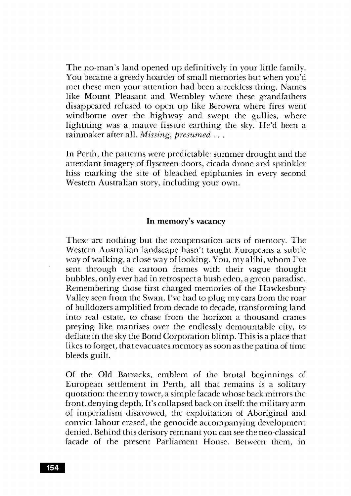The no-man's land opened up definitively in your little family. You became a greedy hoarder of small memories but when you'd met these men your attention had been a reckless thing. Names like Mount Pleasant and Wembley where these grandfathers disappeared refused to open up like Berowra where fires went windborne over the highway and swept the gullies, where lightning was a mauve fissure earthing the sky. He'd been a rainmaker after all. *Missing, presumed .* ..

In Perth, the patterns were predictable: summer drought and the attendant imagery of flyscreen doors, cicada drone and sprinkler hiss marking the site of bleached epiphanies in every second \t\Testern Australian story, including your own.

#### In memory's vacancy

These are nothing but the compensation acts of memory. The Western Australian landscape hasn't taught Europeans a subtle way of walking, a close way of looking. You, my alibi, whom I've sent through the cartoon frames with their vague thought bubbles, only ever had in retrospect a bush eden, a green paradise. Remembering those first charged memories of the Hawkesbury Valley seen from the Swan, I've had to plug my ears from the roar of bulldozers amplified from decade to decade, transforming land into real estate, to chase from the horizon a thousand cranes preying like mantises over the endlessly demountable city, to deflate in the sky the Bond Corporation blimp. This is a place that likes to forget, that evacuates memory as soon as the patina of time bleeds guilt.

Of the Old Barracks, emblem of the brutal beginnings of European settlement in Perth, all that remains is a solitary quotation: the entry tower, a simple facade whose back mirrors the front, denying depth. It's collapsed back on itself: the military arm of imperialism disavowed, the exploitation of Aboriginal and convict labour erased, the genocide accompanying development denied. Behind this derisory remnant you can see the neo-classical facade of the present Parliament House. Between them, in